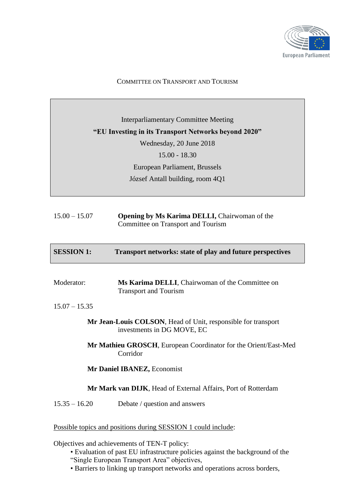

### COMMITTEE ON TRANSPORT AND TOURISM

Interparliamentary Committee Meeting **"EU Investing in its Transport Networks beyond 2020"** Wednesday, 20 June 2018 15.00 - 18.30 European Parliament, Brussels József Antall building, room 4Q1

| $15.00 - 15.07$ | <b>Opening by Ms Karima DELLI, Chairwoman of the</b> |
|-----------------|------------------------------------------------------|
|                 | Committee on Transport and Tourism                   |

| <b>SESSION 1:</b> | <b>Transport networks: state of play and future perspectives</b> |
|-------------------|------------------------------------------------------------------|
|                   |                                                                  |

| Moderator: | Ms Karima DELLI, Chairwoman of the Committee on |
|------------|-------------------------------------------------|
|            | <b>Transport and Tourism</b>                    |

15.07 – 15.35

| Mr Jean-Louis COLSON, Head of Unit, responsible for transport |  |
|---------------------------------------------------------------|--|
| investments in DG MOVE, EC                                    |  |

**Mr Mathieu GROSCH**, European Coordinator for the Orient/East-Med Corridor

### **Mr Daniel IBANEZ,** Economist

# **Mr Mark van DIJK**, Head of External Affairs, Port of Rotterdam

15.35 – 16.20 Debate / question and answers

Possible topics and positions during SESSION 1 could include:

Objectives and achievements of TEN-T policy:

- Evaluation of past EU infrastructure policies against the background of the
- "Single European Transport Area" objectives,
- Barriers to linking up transport networks and operations across borders,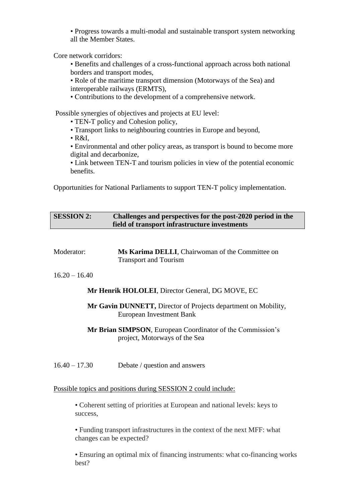• Progress towards a multi-modal and sustainable transport system networking all the Member States.

Core network corridors:

• Benefits and challenges of a cross-functional approach across both national borders and transport modes,

• Role of the maritime transport dimension (Motorways of the Sea) and interoperable railways (ERMTS),

• Contributions to the development of a comprehensive network.

Possible synergies of objectives and projects at EU level:

- TEN-T policy and Cohesion policy.
- Transport links to neighbouring countries in Europe and beyond,
- R&I,

• Environmental and other policy areas, as transport is bound to become more digital and decarbonize,

• Link between TEN-T and tourism policies in view of the potential economic benefits.

Opportunities for National Parliaments to support TEN-T policy implementation.

| <b>SESSION 2:</b> | Challenges and perspectives for the post-2020 period in the |
|-------------------|-------------------------------------------------------------|
|                   | field of transport infrastructure investments               |

| Moderator:      | Ms Karima DELLI, Chairwoman of the Committee on<br><b>Transport and Tourism</b>                    |
|-----------------|----------------------------------------------------------------------------------------------------|
| $16.20 - 16.40$ |                                                                                                    |
|                 | <b>Mr Henrik HOLOLEI, Director General, DG MOVE, EC</b>                                            |
|                 | Mr Gavin DUNNETT, Director of Projects department on Mobility,<br>European Investment Bank         |
|                 | <b>Mr Brian SIMPSON, European Coordinator of the Commission's</b><br>project, Motorways of the Sea |
| $16.40 - 17.30$ | Debate / question and answers                                                                      |

#### Possible topics and positions during SESSION 2 could include:

• Coherent setting of priorities at European and national levels: keys to success,

• Funding transport infrastructures in the context of the next MFF: what changes can be expected?

• Ensuring an optimal mix of financing instruments: what co-financing works best?